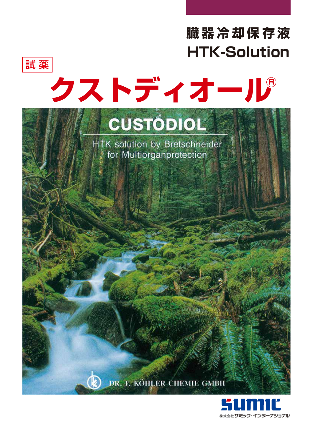



# クストディオール

# CUSTODIOL

HTK solution by Bretschneider for Multiorganprotection

DR. F. KÖHLER CHEMIE GMBH

Œ